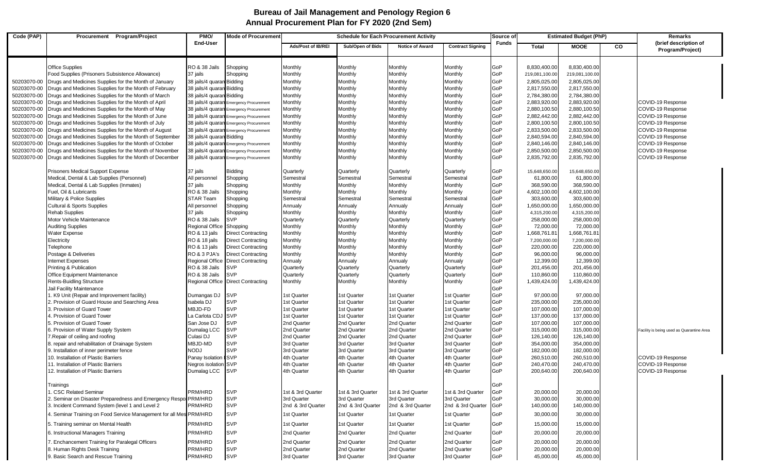## **Annual Procurement Plan for FY 2020 (2nd Sem) Bureau of Jail Management and Penology Region 6**

| Code (PAP)                 | Procurement Program/Project                                                                                           | PMO/<br><b>Mode of Procurement</b><br><b>Schedule for Each Procurement Activity</b> |                                                                                    |                                  |                                  | Source of                        | <b>Estimated Budget (PhP)</b>    |              |                              | Remarks                        |           |                                           |
|----------------------------|-----------------------------------------------------------------------------------------------------------------------|-------------------------------------------------------------------------------------|------------------------------------------------------------------------------------|----------------------------------|----------------------------------|----------------------------------|----------------------------------|--------------|------------------------------|--------------------------------|-----------|-------------------------------------------|
|                            |                                                                                                                       | <b>End-User</b>                                                                     |                                                                                    | Ads/Post of IB/REI               | Sub/Open of Bids                 | <b>Notice of Award</b>           | <b>Contract Signing</b>          | <b>Funds</b> | <b>Total</b>                 | <b>MOOE</b>                    | <b>CO</b> | (brief description of<br>Program/Project) |
|                            |                                                                                                                       |                                                                                     |                                                                                    |                                  |                                  |                                  |                                  | GoP          |                              |                                |           |                                           |
|                            | <b>Office Supplies</b>                                                                                                | RO & 38 Jails<br>37 jails                                                           | Shopping                                                                           | Monthly                          | Monthly                          | Monthly<br>Monthly               | Monthly<br>Monthly               | GoP          | 8,830,400.00                 | 8,830,400.00<br>219,081,100.00 |           |                                           |
|                            | Food Supplies (Prisoners Subsistence Allowance)                                                                       |                                                                                     | Shopping                                                                           | Monthly                          | Monthly                          |                                  |                                  |              | 219,081,100.00               |                                |           |                                           |
| 50203070-00                | Drugs and Medicines Supplies for the Month of January                                                                 | 38 jails/4 quaran Bidding                                                           |                                                                                    | Monthly                          | Monthly                          | Monthly                          | Monthly                          | GoP<br>GoP   | 2,805,025.00                 | 2,805,025.00                   |           |                                           |
| 50203070-00                | Drugs and Medicines Supplies for the Month of February                                                                | 38 jails/4 quaran Bidding                                                           |                                                                                    | Monthly                          | Monthly                          | Monthly                          | Monthly                          |              | 2,817,550.00                 | 2,817,550.00                   |           |                                           |
| 50203070-00                | Drugs and Medicines Supplies for the Month of March                                                                   | 38 jails/4 quaran Bidding                                                           |                                                                                    | Monthly                          | Monthly                          | Monthly                          | Monthly                          | GoP<br>GoP   | 2,784,380.00                 | 2,784,380.00                   |           |                                           |
| 50203070-00                | Drugs and Medicines Supplies for the Month of April                                                                   |                                                                                     | 38 jails/4 quaran Emergency Procurement                                            | Monthly                          | Monthly                          | Monthly                          | Monthly                          | GoP          | 2,883,920.00                 | 2,883,920.00                   |           | COVID-19 Response<br>COVID-19 Response    |
| 50203070-00                | Drugs and Medicines Supplies for the Month of May                                                                     |                                                                                     | 38 jails/4 quaran Emergency Procurement                                            | Monthly                          | Monthly                          | Monthly                          | Monthly                          | GoP          | 2,880,100.50                 | 2,880,100.50                   |           |                                           |
| 50203070-00                | Drugs and Medicines Supplies for the Month of June                                                                    |                                                                                     | 38 jails/4 quaran Emergency Procurement                                            | Monthly                          | Monthly                          | Monthly<br>Monthly               | Monthly                          | GoP          | 2,882,442.00                 | 2,882,442.00                   |           | COVID-19 Response                         |
| 50203070-00<br>50203070-00 | Drugs and Medicines Supplies for the Month of July                                                                    |                                                                                     | 38 jails/4 quaran Emergency Procurement<br>38 jails/4 quaran Emergency Procurement | Monthly<br>Monthly               | Monthly<br>Monthly               | Monthly                          | Monthly<br>Monthly               | GoP          | 2,800,100.50<br>2,833,500.00 | 2,800,100.50<br>2,833,500.00   |           | COVID-19 Response<br>COVID-19 Response    |
| 50203070-00                | Drugs and Medicines Supplies for the Month of August                                                                  | 38 jails/4 quaran Bidding                                                           |                                                                                    | Monthly                          | Monthly                          | Monthly                          | Monthly                          | GoP          | 2,840,594.00                 | 2,840,594.00                   |           | COVID-19 Response                         |
| 50203070-00                | Drugs and Medicines Supplies for the Month of September                                                               |                                                                                     | 38 jails/4 quaran Emergency Procurement                                            | Monthly                          | Monthly                          | Monthly                          | Monthly                          | GoP          | 2,840,146.00                 | 2,840,146.00                   |           | COVID-19 Response                         |
| 50203070-00                | Drugs and Medicines Supplies for the Month of October<br>Drugs and Medicines Supplies for the Month of November       |                                                                                     | 38 jails/4 quaran Emergency Procurement                                            | Monthly                          | Monthly                          | Monthly                          | Monthly                          | GoP          | 2,850,500.00                 | 2,850,500.00                   |           | COVID-19 Response                         |
| 50203070-00                | Drugs and Medicines Supplies for the Month of December                                                                |                                                                                     | 38 jails/4 quaran Emergency Procurement                                            | Monthly                          | Monthly                          | Monthly                          | Monthly                          | GoP          | 2,835,792.00                 | 2,835,792.00                   |           | COVID-19 Response                         |
|                            | <b>Prisoners Medical Support Expense</b>                                                                              | 37 jails                                                                            | <b>Bidding</b>                                                                     | Quarterly                        | Quarterly                        | Quarterly                        | Quarterly                        | GoP          | 15,648,650.00                | 15,648,650.00                  |           |                                           |
|                            | Medical, Dental & Lab Supplies (Personnel)                                                                            | All personnel                                                                       | Shopping                                                                           | Semestral                        | Semestral                        | Semestral                        | Semestral                        | GoP          | 61,800.00                    | 61,800.00                      |           |                                           |
|                            | Medical, Dental & Lab Supplies (Inmates)                                                                              | 37 jails                                                                            | Shopping                                                                           | Monthly                          | Monthly                          | Monthly                          | Monthly                          | GoP          | 368,590.00                   | 368,590.00                     |           |                                           |
|                            | Fuel, Oil & Lubricants                                                                                                | <b>RO &amp; 38 Jails</b>                                                            | Shopping                                                                           | Monthly                          | Monthly                          | Monthly                          | Monthly                          | GoP          | 4,602,100.00                 | 4,602,100.00                   |           |                                           |
|                            | Military & Police Supplies                                                                                            | <b>STAR Team</b>                                                                    | Shopping                                                                           | Semestral                        | Semestral                        | Semestral                        | Semestral                        | GoP          | 303,600.00                   | 303,600.00                     |           |                                           |
|                            | <b>Cultural &amp; Sports Supplies</b>                                                                                 | All personnel                                                                       | Shopping                                                                           | Annualy                          | Annualy                          | Annualy                          | Annualy                          | GoP          | 1,650,000.00                 | 1,650,000.00                   |           |                                           |
|                            | <b>Rehab Supplies</b>                                                                                                 | 37 jails                                                                            | Shopping                                                                           | Monthly                          | Monthly                          | Monthly                          | Monthly                          | GoP          | 4,315,200.00                 | 4,315,200.00                   |           |                                           |
|                            | Motor Vehicle Maintenance                                                                                             | RO & 38 Jails                                                                       | <b>SVP</b>                                                                         | Quarterly                        | Quarterly                        | Quarterly                        | Quarterly                        | GoP          | 258,000.00                   | 258,000.00                     |           |                                           |
|                            | <b>Auditing Supplies</b>                                                                                              | Regional Office                                                                     | Shopping                                                                           | Monthly                          | Monthly                          | Monthly                          | Monthly                          | GoP          | 72,000.00                    | 72,000.00                      |           |                                           |
|                            | Water Expense                                                                                                         | RO & 13 jails                                                                       | <b>Direct Contracting</b>                                                          | Monthly                          | Monthly                          | Monthly                          | Monthly                          | GoP          | 1,668,761.81                 | 1,668,761.81                   |           |                                           |
|                            | Electricity                                                                                                           | RO & 18 jails                                                                       | <b>Direct Contracting</b>                                                          | Monthly                          | Monthly                          | Monthly                          | Monthly                          | GoP          | 7,200,000.00                 | 7,200,000.00                   |           |                                           |
|                            | Telephone                                                                                                             | RO & 13 jails                                                                       | <b>Direct Contracting</b>                                                          | Monthly                          | Monthly                          | Monthly                          | Monthly                          | GoP          | 220,000.00                   | 220,000.00                     |           |                                           |
|                            | Postage & Deliveries                                                                                                  | RO & 3 PJA's                                                                        | <b>Direct Contracting</b>                                                          | Monthly                          | Monthly                          | Monthly                          | Monthly                          | GoP          | 96,000.00                    | 96,000.00                      |           |                                           |
|                            | <b>Internet Expenses</b>                                                                                              | <b>Regional Office</b>                                                              | <b>Direct Contracting</b>                                                          | Annualy                          | Annualy                          | Annualy                          | Annualy                          | GoP          | 12,399.00                    | 12,399.00                      |           |                                           |
|                            | Printing & Publication                                                                                                | RO & 38 Jails                                                                       | <b>SVP</b>                                                                         | Quarterly                        | Quarterly                        | Quarterly                        | Quarterly                        | GoP          | 201,456.00                   | 201,456.00                     |           |                                           |
|                            | Office Equipment Maintenance                                                                                          | <b>RO &amp; 38 Jails</b>                                                            | <b>SVP</b>                                                                         | Quarterly                        | Quarterly                        | Quarterly                        | Quarterly                        | GoP          | 110,860.00                   | 110,860.00                     |           |                                           |
|                            | <b>Rents-Buidling Structure</b>                                                                                       |                                                                                     | Regional Office Direct Contracting                                                 | Monthly                          | Monthly                          | Monthly                          | Monthly                          | GoP          | 1,439,424.00                 | 1,439,424.00                   |           |                                           |
|                            | Jail Facility Maintenance                                                                                             |                                                                                     |                                                                                    |                                  |                                  |                                  |                                  | GoP          |                              |                                |           |                                           |
|                            | . K9 Unit (Repair and Improvement facility)                                                                           | Dumangas DJ                                                                         | <b>SVP</b>                                                                         | 1st Quarter                      | 1st Quarter                      | 1st Quarter                      | 1st Quarter                      | GoP          | 97,000.00                    | 97,000.00                      |           |                                           |
|                            | 2. Provision of Guard House and Searching Area                                                                        | Isabela DJ                                                                          | <b>SVP</b>                                                                         | 1st Quarter                      | 1st Quarter                      | 1st Quarter                      | 1st Quarter                      | GoP          | 235,000.00                   | 235,000.00                     |           |                                           |
|                            | 3. Provision of Guard Tower                                                                                           | MBJD-FD                                                                             | <b>SVP</b>                                                                         | 1st Quarter                      | 1st Quarter                      | 1st Quarter                      | 1st Quarter                      | GoP          | 107,000.00                   | 107,000.00                     |           |                                           |
|                            | 4. Provision of Guard Tower                                                                                           | La Carlota CDJ SVP                                                                  |                                                                                    | 1st Quarter                      | 1st Quarter                      | 1st Quarter                      | 1st Quarter                      | GoP          | 137,000.00                   | 137,000.00                     |           |                                           |
|                            | 5. Provision of Guard Tower                                                                                           | San Jose DJ                                                                         | <b>SVP</b>                                                                         | 2nd Quarter                      | 2nd Quarter                      | 2nd Quarter                      | 2nd Quarter                      | GoP          | 107,000.00                   | 107,000.00                     |           |                                           |
|                            | 6. Provision of Water Supply System                                                                                   | Dumalag LCC                                                                         | <b>SVP</b>                                                                         | 2nd Quarter                      | 2nd Quarter                      | 2nd Quarter                      | 2nd Quarter                      | GoP          | 315,000.00                   | 315,000.00                     |           | Facility is being used as Quarantine Area |
|                            | 7. Repair of ceiling and roofing                                                                                      | Culasi DJ                                                                           | <b>SVP</b>                                                                         | 2nd Quarter                      | 2nd Quarter                      | 2nd Quarter                      | 2nd Quarter                      | GoP          | 126,140.00                   | 126,140.00                     |           |                                           |
|                            | 8. repair and rehabilitation of Drainage System                                                                       | MBJD-MD                                                                             | <b>SVP</b>                                                                         | 3rd Quarter                      | 3rd Quarter                      | 3rd Quarter                      | 3rd Quarter                      | GoP          | 354,000.00                   | 354,000.00                     |           |                                           |
|                            | 9. Installation of inner perimeter fence                                                                              | NODJ                                                                                | <b>SVP</b>                                                                         | 3rd Quarter                      | 3rd Quarter                      | 3rd Quarter                      | 3rd Quarter                      | GoP          | 182,000.00                   | 182,000.00                     |           |                                           |
|                            | 10. Installation of Plastic Barriers                                                                                  | Panay Isolation I SVP                                                               |                                                                                    | 4th Quarter                      | 4th Quarter                      | 4th Quarter                      | 4th Quarter                      | GoP          | 260,510.00                   | 260,510.00                     |           | COVID-19 Response                         |
|                            | 11. Installation of Plastic Barriers                                                                                  | Negros isolation SVP                                                                |                                                                                    | 4th Quarter                      | 4th Quarter                      | 4th Quarter                      | 4th Quarter                      | GoP          | 240,470.00                   | 240,470.00                     |           | COVID-19 Response                         |
|                            | 12. Installation of Plastic Barriers                                                                                  | Dumalag LCC                                                                         | <b>SVP</b>                                                                         | 4th Quarter                      | 4th Quarter                      | 4th Quarter                      | 4th Quarter                      | GoP          | 200,640.00                   | 200,640.00                     |           | COVID-19 Response                         |
|                            | Trainings                                                                                                             |                                                                                     |                                                                                    |                                  |                                  |                                  | 1st & 3rd Quarter                | GoP          |                              |                                |           |                                           |
|                            | . CSC Related Seminar                                                                                                 | PRM/HRD                                                                             | <b>SVP</b><br><b>SVP</b>                                                           | 1st & 3rd Quarter                | 1st & 3rd Quarter                | 1st & 3rd Quarter                |                                  | GoP          | 20,000.00                    | 20,000.00                      |           |                                           |
|                            | 2. Seminar on Disaster Preparedness and Emergency Respor PRM/HRD                                                      | PRM/HRD                                                                             | <b>SVP</b>                                                                         | 3rd Quarter<br>2nd & 3rd Quarter | 3rd Quarter                      | 3rd Quarter<br>2nd & 3rd Quarter | 3rd Quarter                      | GoP<br>GoP   | 30,000.00                    | 30,000.00                      |           |                                           |
|                            | 3. Incident Command System (level 1 and Level 2<br>4. Seminar Training on Food Service Management for all Mes PRM/HRD |                                                                                     | <b>SVP</b>                                                                         | 1st Quarter                      | 2nd & 3rd Quarter<br>1st Quarter | 1st Quarter                      | 2nd & 3rd Quarter<br>1st Quarter | GoP          | 140,000.00<br>30,000.00      | 140,000.00<br>30,000.00        |           |                                           |
|                            | 5. Training seminar on Mental Health                                                                                  | PRM/HRD                                                                             | <b>SVP</b>                                                                         | 1st Quarter                      | 1st Quarter                      | 1st Quarter                      | 1st Quarter                      | GoP          | 15,000.00                    | 15,000.00                      |           |                                           |
|                            | 6. Instructional Managers Training                                                                                    | PRM/HRD                                                                             | <b>SVP</b>                                                                         | 2nd Quarter                      | 2nd Quarter                      | 2nd Quarter                      | 2nd Quarter                      | GoP          | 20,000.00                    | 20,000.00                      |           |                                           |
|                            | 7. Enchancement Training for Paralegal Officers                                                                       | PRM/HRD                                                                             | <b>SVP</b>                                                                         | 2nd Quarter                      | 2nd Quarter                      | 2nd Quarter                      | 2nd Quarter                      | GoP          | 20,000.00                    | 20,000.00                      |           |                                           |
|                            | 8. Human Rights Desk Training                                                                                         | PRM/HRD                                                                             | <b>SVP</b>                                                                         | 2nd Quarter                      | 2nd Quarter                      | 2nd Quarter                      | 2nd Quarter                      | GoP          | 20,000.00                    | 20,000.00                      |           |                                           |
|                            | 9. Basic Search and Rescue Training                                                                                   | PRM/HRD                                                                             | <b>SVP</b>                                                                         | 3rd Quarter                      | 3rd Quarter                      | 3rd Quarter                      | 3rd Quarter                      | GoP          | 45,000.00                    | 45,000.00                      |           |                                           |